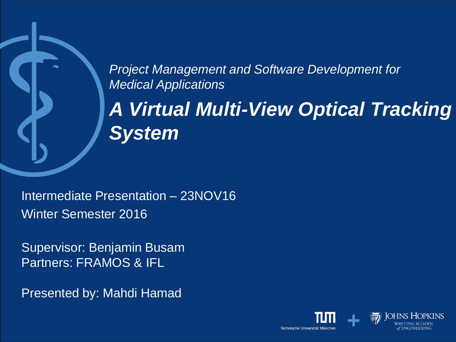*Project Management and Software Development for Medical Applications*

*A Virtual Multi-View Optical Tracking System*

Intermediate Presentation – 23NOV16 Winter Semester 2016

Supervisor: Benjamin Busam Partners: FRAMOS & IFL

Presented by: Mahdi Hamad

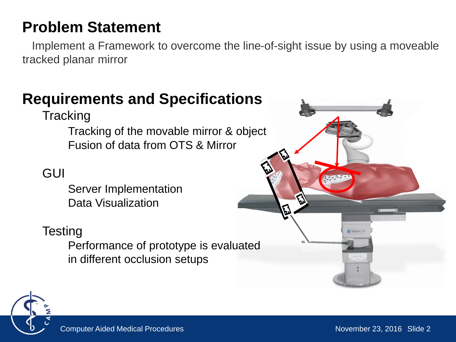### **Problem Statement**

Implement a Framework to overcome the line-of-sight issue by using a moveable tracked planar mirror

### **Requirements and Specifications**

**Tracking** 

Tracking of the movable mirror & object Fusion of data from OTS & Mirror

#### GUI

Server Implementation Data Visualization

#### **Testing**

Performance of prototype is evaluated in different occlusion setups



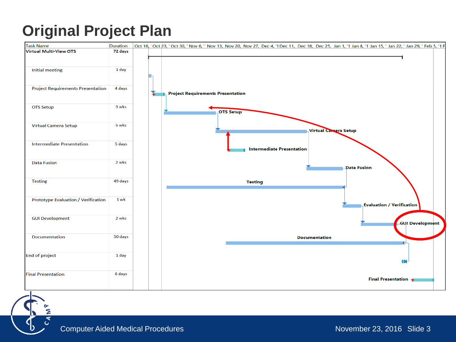### **Original Project Plan**



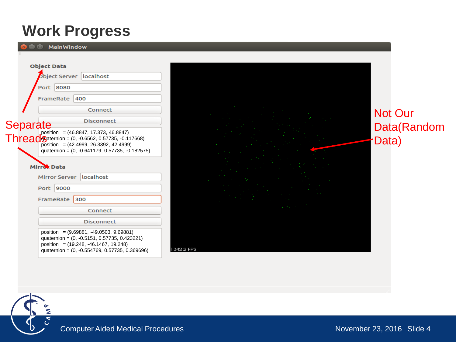### **Work Progress**



Not Our Data(Random Data)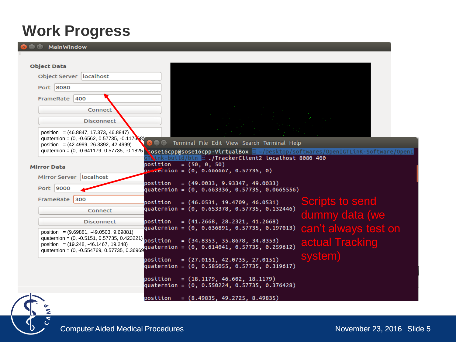#### **Work Progress**

**<sup>@</sup>** MainWindow

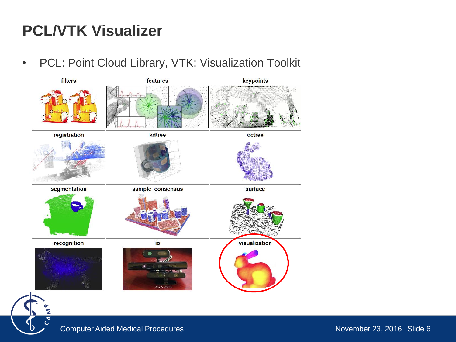### **PCL/VTK Visualizer**

• PCL: Point Cloud Library, VTK: Visualization Toolkit

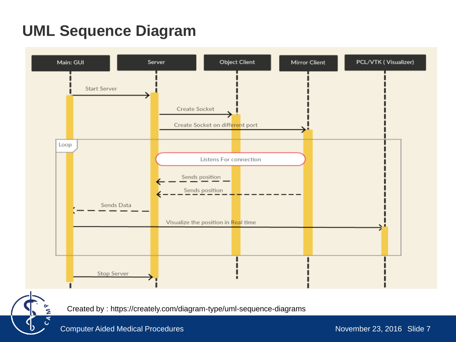# **UML Sequence Diagram**



Created by : https://creately.com/diagram-type/uml-sequence-diagrams

G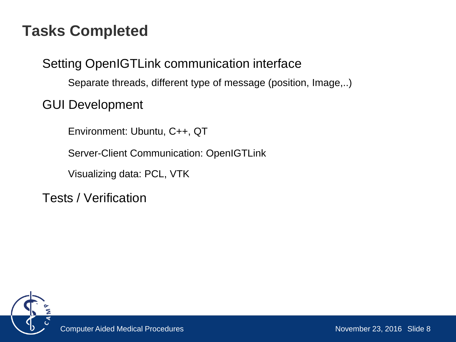#### **Tasks Completed**

Setting OpenIGTLink communication interface

Separate threads, different type of message (position, Image,..)

GUI Development

Environment: Ubuntu, C++, QT

Server-Client Communication: OpenIGTLink

Visualizing data: PCL, VTK

Tests / Verification

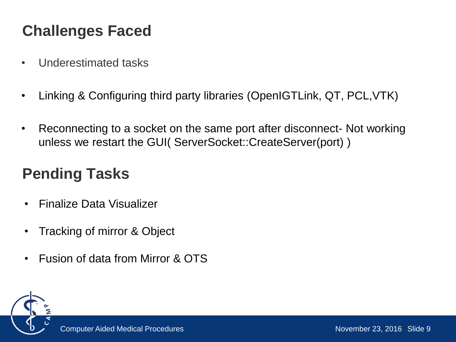# **Challenges Faced**

- Underestimated tasks
- Linking & Configuring third party libraries (OpenIGTLink, QT, PCL,VTK)
- Reconnecting to a socket on the same port after disconnect- Not working unless we restart the GUI( ServerSocket::CreateServer(port) )

## **Pending Tasks**

- Finalize Data Visualizer
- Tracking of mirror & Object
- Fusion of data from Mirror & OTS